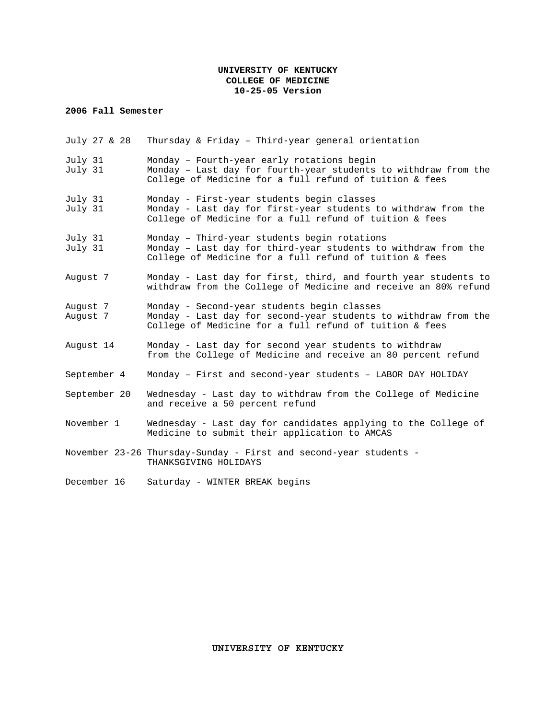### **UNIVERSITY OF KENTUCKY COLLEGE OF MEDICINE 10-25-05 Version**

### **2006 Fall Semester**

| July 27 & 28         | Thursday & Friday - Third-year general orientation                                                                                                                        |  |
|----------------------|---------------------------------------------------------------------------------------------------------------------------------------------------------------------------|--|
| July 31<br>July 31   | Monday - Fourth-year early rotations begin<br>Monday - Last day for fourth-year students to withdraw from the<br>College of Medicine for a full refund of tuition & fees  |  |
| July 31<br>July 31   | Monday - First-year students begin classes<br>Monday - Last day for first-year students to withdraw from the<br>College of Medicine for a full refund of tuition & fees   |  |
| July 31<br>July 31   | Monday - Third-year students begin rotations<br>Monday - Last day for third-year students to withdraw from the<br>College of Medicine for a full refund of tuition & fees |  |
| August 7             | Monday - Last day for first, third, and fourth year students to<br>withdraw from the College of Medicine and receive an 80% refund                                        |  |
| August 7<br>August 7 | Monday - Second-year students begin classes<br>Monday - Last day for second-year students to withdraw from the<br>College of Medicine for a full refund of tuition & fees |  |
| August 14            | Monday - Last day for second year students to withdraw<br>from the College of Medicine and receive an 80 percent refund                                                   |  |
| September 4          | Monday - First and second-year students - LABOR DAY HOLIDAY                                                                                                               |  |
| September 20         | Wednesday - Last day to withdraw from the College of Medicine<br>and receive a 50 percent refund                                                                          |  |
| November 1           | Wednesday - Last day for candidates applying to the College of<br>Medicine to submit their application to AMCAS                                                           |  |
|                      | November 23-26 Thursday-Sunday - First and second-year students -<br>THANKSGIVING HOLIDAYS                                                                                |  |
| December 16          | Saturday - WINTER BREAK begins                                                                                                                                            |  |

# **UNIVERSITY OF KENTUCKY**